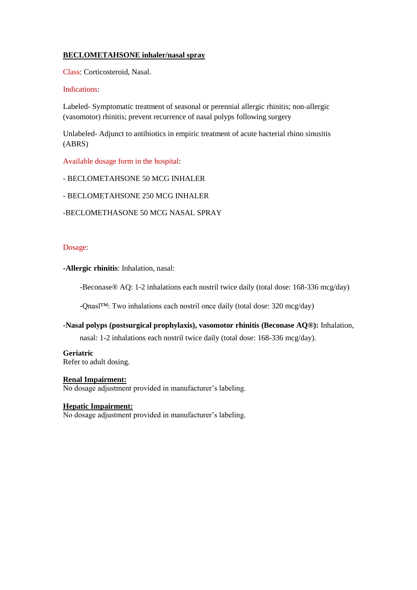# **BECLOMETAHSONE inhaler/nasal spray**

Class: [Corticosteroid, Nasal.](http://lexicomp.medicasur.com.mx/lco/action/search/pharmacat/patch_f?q=Corticosteroid%2C+Nasal)

# Indications:

Labeled- Symptomatic treatment of seasonal or perennial allergic rhinitis; non-allergic (vasomotor) rhinitis; prevent recurrence of nasal polyps following surgery

Unlabeled- Adjunct to antibiotics in empiric treatment of acute bacterial rhino sinusitis (ABRS)

Available dosage form in the hospital:

- BECLOMETAHSONE 50 MCG INHALER

# - BECLOMETAHSONE 250 MCG INHALER

## -BECLOMETHASONE 50 MCG NASAL SPRAY

### Dosage:

### **-Allergic rhinitis**: Inhalation, nasal:

-Beconase® AQ: 1-2 inhalations each nostril twice daily (total dose: 168-336 mcg/day)

-Qnasl™: Two inhalations each nostril once daily (total dose: 320 mcg/day)

## **-Nasal polyps (postsurgical prophylaxis), vasomotor rhinitis (Beconase AQ®):** Inhalation,

nasal: 1-2 inhalations each nostril twice daily (total dose: 168-336 mcg/day).

## **Geriatric**

Refer to adult dosing.

### **Renal Impairment:**

No dosage adjustment provided in manufacturer's labeling.

### **Hepatic Impairment:**

No dosage adjustment provided in manufacturer's labeling.